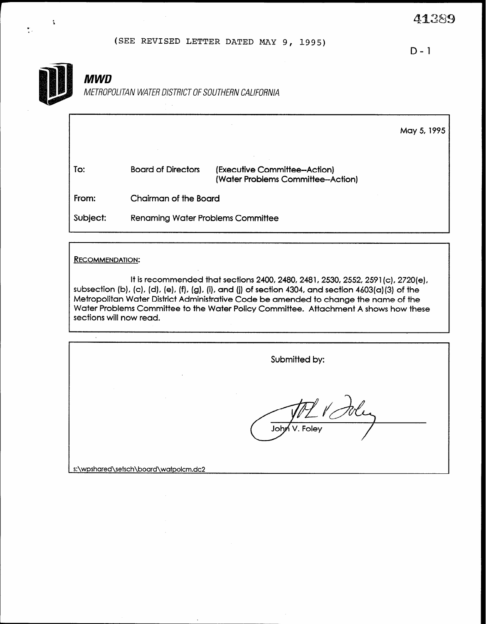(SEE REVISED LETTER DATED MAY 9, 1995)

D-l



Î,

 $\frac{\bullet}{\bullet}$  .

# **MWD**

METROPOLITAN WATER DISTRICT OF SOUTHERN CALIFORNIA

|          |                                          |                                                                   | May 5, 1995 |
|----------|------------------------------------------|-------------------------------------------------------------------|-------------|
| To:      | <b>Board of Directors</b>                | (Executive Committee-Action)<br>(Water Problems Committee-Action) |             |
| From:    | Chairman of the Board                    |                                                                   |             |
| Subject: | <b>Renaming Water Problems Committee</b> |                                                                   |             |

### RECOMMENDATION:

 $\hat{\mathcal{A}}$ 

It is recommended that sections 2400, 2480, 2481, 2530, 2552, 2591(c), 2720(e), subsection (b), (c), (d), (e), (f), (g), (i), and (j) of section 4304, and section 4603(a)(3) of the Metropolitan Water District Administrative Code be amended to change the name of the Water Problems Committee to the Water Policy Committee. Attachment A shows how these sections will now read.

| $\sim$                                | Submitted by: |
|---------------------------------------|---------------|
|                                       | John V. Foley |
| s:\wpshared\setsch\board\watpolcm.dc? |               |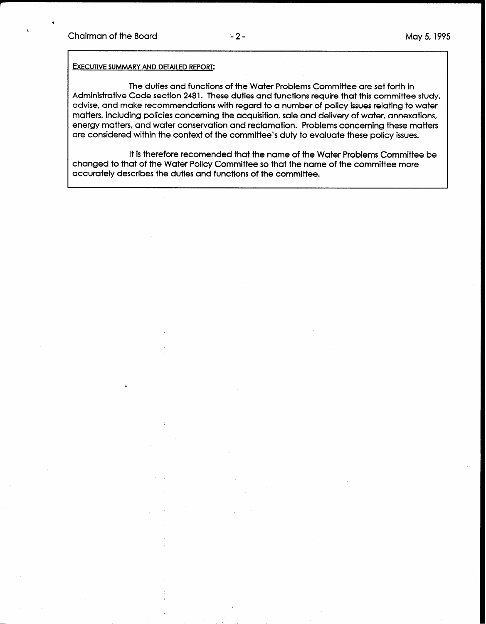\*

I

#### EXECUTIVE SUMMARY AND DETAILED REPORT:

The duties and functions of the Water Problems Committee are set forth in Administrative Code section 2481. These duties and functions require that this committee study, advise, and make recommendations with regard to a number of policy issues relating to water matters, including policies concerning the acquisition, sale and delivery of water, annexations, energy matters, and water conservation and reclamation. Problems concerning these matters are considered within the context of the committee's duty to evaluate these policy issues.

It is therefore recomended that the name of the Water Problems Committee be changed to that of the Water Policy Committee so that the name of the committee more accurately describes the duties and functions of the committee.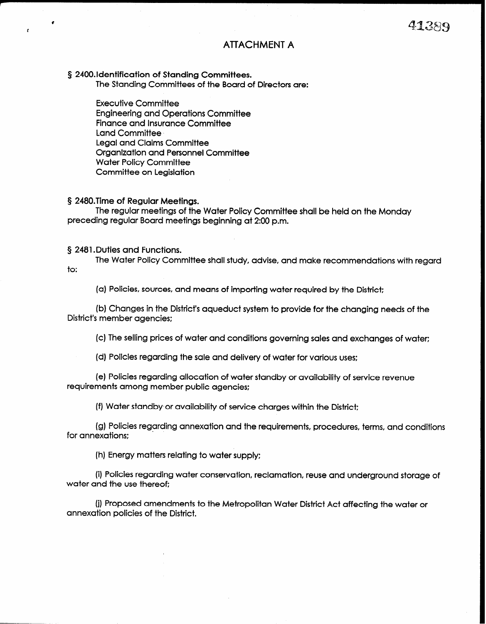## **ATTACHMENT A**

§ 2400.ldentification of Standing Committees.

The Standing Committees of the Board of Directors are:

Executive Committee Engineering and Operations Committee Finance and Insurance Committee Land Committee Legal and Claims Committee Organization and Personnel Committee Water Policy Committee Committee on Legislation

#### 5 2480.Time of Regular Meetings.

 $\epsilon$ 

The regular meetings of the Water Policy Committee shall be held on the Monday preceding regular Board meetings beginning at 2:00 p.m.

#### § 2481. Duties and Functions.

The Water Policy Committee shall study, advise, and make recommendations with regard to:

(a) Policies, sources, and means of importing water required by the District:

(b) Changes in the District's aqueduct system to provide for the changing needs of the District's member agencies:

(c) The selling prices of water and conditions governing sales and exchanges of water;

(d) Policies regarding the sale and delivery of water for various uses:

(e) Policies regarding allocation of water standby or availability of service revenue requirements among member public agencies:

(f) Water standby or availability of service charges within the District;

(g) Policies regarding annexation and the requirements, procedures, terms, and conditions for annexations:

(h) Energy matters relating to water supply:

(i) Policies regarding water conservation, reclamation, reuse and underground storage of water and the use thereof:

(j) Proposed amendments to the Metropolitan Water District Act affecting the water or annexation policies of the District.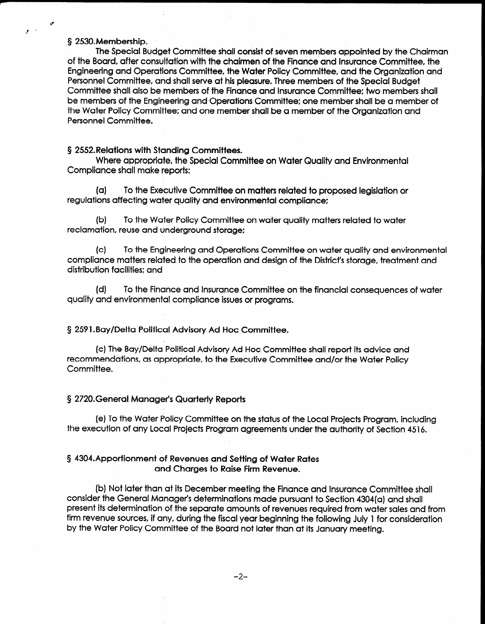#### § 2530. Membership.

 $\mathcal{A}$ 

The Special Budget Committee shall consist of seven members appointed by the Chairman of the Board, after consultation with the chairmen of the Finance and Insurance Committee, the Engineering and Operations Committee, the Water Policy Committee, and the Organization and Personnel Committee, and shall serve at his pleasure. Three members of the Special Budget Committee shall also be members of the Finance and Insurance Committee: two members shall be members of the Engineering and Operations Committee: one member shall be a member of the Water Policy Committee: and one member shall be a member of the Organization and Personnel Committee.

#### § 2552.Relations with Standing Committees.

Where appropriate, the Special Committee on Water Quality and Environmental Compliance shall make reports:

(a) To the Executive Committee on matters related to proposed legislation or regulations affecting water quality and environmental compliance:

04 To the Water Policy Committee on water quality matters related to water reclamation, reuse and underground storage:

(c) To the Engineering and Operations Committee on water quality and environmental compliance matters related to the operation and design of the District's storage, treatment and distribution facilities: and

(d) To the Finance and Insurance Committee on the financial consequences of water quality and environmental compliance issues or programs.

§ 2591 .Bay/Delta Political Advisory Ad Hoc Committee.

(c) The Bay/Delta Political Advisory Ad Hoc Committee shall report its advice and recommendations, as appropriate committee and the Executive Committee and the Policy of Water Policy rccomme

#### § 2720.General Manager's Quarterly Reports

(e) To the Water Policy Committee on the status of the status  $\mathcal{L}$  the status  $\mathcal{L}$  $t_{\text{eff}}$  to the water Follcy Committee on the signs of the Local Projects Program, includi

# 5 4304.Apportionment of Revenues and Setting of Water Rates i oi kevenues and Seffing of Wafer

(b) Not later than at its December meeting the Finance and Insurance Committee shall consider the General Manager's determinations made pursuant to Section 4304(a) and shall present its determination of the separate amounts of revenues required from water sales and from firm revenue sources, if any, during the fiscal year beginning the following July 1 for consideration<br>by the Water Policy Committee of the Board not later than at its January meeting.